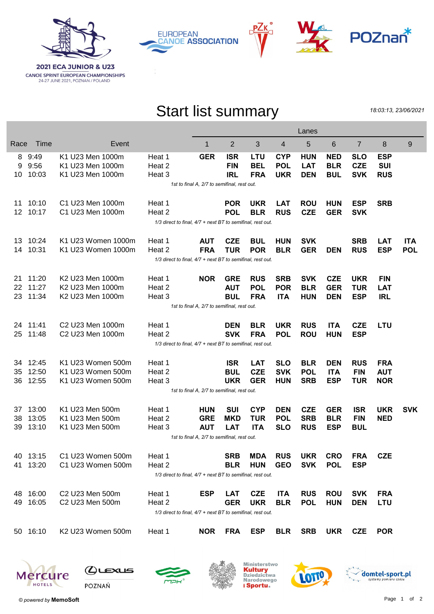

**EUROPEAN CANOE ASSOCIATION** 





## Start list summary

18:03:13, 23/06/2021

|                 |                                                                |                                                            |                                                            | Lanes      |            |            |            |            |            |                |            |            |
|-----------------|----------------------------------------------------------------|------------------------------------------------------------|------------------------------------------------------------|------------|------------|------------|------------|------------|------------|----------------|------------|------------|
| Race            | Time                                                           | Event                                                      |                                                            | 1          | 2          | 3          | 4          | 5          | 6          | $\overline{7}$ | 8          | 9          |
| 8               | 9:49                                                           | K1 U23 Men 1000m                                           | Heat 1                                                     | <b>GER</b> | <b>ISR</b> | LTU        | <b>CYP</b> | <b>HUN</b> | <b>NED</b> | <b>SLO</b>     | <b>ESP</b> |            |
| 9               | 9:56                                                           | K1 U23 Men 1000m                                           | Heat 2                                                     |            | <b>FIN</b> | <b>BEL</b> | <b>POL</b> | <b>LAT</b> | <b>BLR</b> | <b>CZE</b>     | <b>SUI</b> |            |
| 10              | 10:03                                                          | K1 U23 Men 1000m                                           | Heat 3                                                     |            | <b>IRL</b> | <b>FRA</b> | <b>UKR</b> | <b>DEN</b> | <b>BUL</b> | <b>SVK</b>     | <b>RUS</b> |            |
|                 | 1st to final A, 2/7 to semifinal, rest out.                    |                                                            |                                                            |            |            |            |            |            |            |                |            |            |
| 11              | 10:10                                                          | C1 U23 Men 1000m                                           | Heat 1                                                     |            | <b>POR</b> | <b>UKR</b> | <b>LAT</b> | <b>ROU</b> | <b>HUN</b> | <b>ESP</b>     | <b>SRB</b> |            |
| 12 <sup>2</sup> | 10:17                                                          | C1 U23 Men 1000m                                           | Heat 2                                                     |            | <b>POL</b> | <b>BLR</b> | <b>RUS</b> | <b>CZE</b> | <b>GER</b> | <b>SVK</b>     |            |            |
|                 | 1/3 direct to final, 4/7 + next BT to semifinal, rest out.     |                                                            |                                                            |            |            |            |            |            |            |                |            |            |
| 13              | 10:24                                                          | K1 U23 Women 1000m                                         | Heat 1                                                     | <b>AUT</b> | <b>CZE</b> | <b>BUL</b> | <b>HUN</b> | <b>SVK</b> |            | <b>SRB</b>     | <b>LAT</b> | <b>ITA</b> |
| 14              | 10:31                                                          | K1 U23 Women 1000m                                         | Heat 2                                                     | <b>FRA</b> | <b>TUR</b> | <b>POR</b> | <b>BLR</b> | <b>GER</b> | <b>DEN</b> | <b>RUS</b>     | <b>ESP</b> | <b>POL</b> |
|                 |                                                                | 1/3 direct to final, 4/7 + next BT to semifinal, rest out. |                                                            |            |            |            |            |            |            |                |            |            |
| 21              | 11:20                                                          | K <sub>2</sub> U <sub>23</sub> Men 1000m                   | Heat 1                                                     | <b>NOR</b> | <b>GRE</b> | <b>RUS</b> | <b>SRB</b> | <b>SVK</b> | <b>CZE</b> | <b>UKR</b>     | <b>FIN</b> |            |
| 22              | 11:27                                                          | K2 U23 Men 1000m                                           | Heat 2                                                     |            | <b>AUT</b> | <b>POL</b> | <b>POR</b> | <b>BLR</b> | <b>GER</b> | <b>TUR</b>     | <b>LAT</b> |            |
| 23              | 11:34                                                          | K2 U23 Men 1000m                                           | Heat 3                                                     |            | <b>BUL</b> | <b>FRA</b> | <b>ITA</b> | <b>HUN</b> | <b>DEN</b> | <b>ESP</b>     | <b>IRL</b> |            |
|                 | 1st to final A, 2/7 to semifinal, rest out.                    |                                                            |                                                            |            |            |            |            |            |            |                |            |            |
|                 | 24 11:41                                                       | C2 U23 Men 1000m                                           | Heat 1                                                     |            | <b>DEN</b> | <b>BLR</b> | <b>UKR</b> | <b>RUS</b> | <b>ITA</b> | <b>CZE</b>     | <b>LTU</b> |            |
| 25              | 11:48                                                          | C2 U23 Men 1000m                                           | Heat 2                                                     |            | <b>SVK</b> | <b>FRA</b> | <b>POL</b> | <b>ROU</b> | <b>HUN</b> | <b>ESP</b>     |            |            |
|                 |                                                                |                                                            | 1/3 direct to final, 4/7 + next BT to semifinal, rest out. |            |            |            |            |            |            |                |            |            |
|                 |                                                                |                                                            |                                                            |            |            |            |            |            |            |                |            |            |
| 34              | 12:45                                                          | K1 U23 Women 500m                                          | Heat 1                                                     |            | <b>ISR</b> | <b>LAT</b> | <b>SLO</b> | <b>BLR</b> | <b>DEN</b> | <b>RUS</b>     | <b>FRA</b> |            |
| 35              | 12:50                                                          | K1 U23 Women 500m                                          | Heat 2                                                     |            | <b>BUL</b> | <b>CZE</b> | <b>SVK</b> | <b>POL</b> | <b>ITA</b> | <b>FIN</b>     | <b>AUT</b> |            |
| 36              | 12:55                                                          | K1 U23 Women 500m                                          | Heat 3                                                     |            | <b>UKR</b> | <b>GER</b> | <b>HUN</b> | <b>SRB</b> | <b>ESP</b> | <b>TUR</b>     | <b>NOR</b> |            |
|                 | 1st to final A, 2/7 to semifinal, rest out.                    |                                                            |                                                            |            |            |            |            |            |            |                |            |            |
| 37              | 13:00                                                          | K1 U23 Men 500m                                            | Heat 1                                                     | <b>HUN</b> | <b>SUI</b> | <b>CYP</b> | <b>DEN</b> | <b>CZE</b> | <b>GER</b> | <b>ISR</b>     | <b>UKR</b> | <b>SVK</b> |
| 38              | 13:05                                                          | K1 U23 Men 500m                                            | Heat 2                                                     | <b>GRE</b> | <b>MKD</b> | <b>TUR</b> | <b>POL</b> | <b>SRB</b> | <b>BLR</b> | <b>FIN</b>     | <b>NED</b> |            |
| 39              | 13:10                                                          | K1 U23 Men 500m                                            | Heat 3                                                     | <b>AUT</b> | <b>LAT</b> | <b>ITA</b> | <b>SLO</b> | <b>RUS</b> | <b>ESP</b> | <b>BUL</b>     |            |            |
|                 | 1st to final A, 2/7 to semifinal, rest out.                    |                                                            |                                                            |            |            |            |            |            |            |                |            |            |
|                 | 40 13:15                                                       | C1 U23 Women 500m                                          | Heat 1                                                     |            | <b>SRB</b> | <b>MDA</b> | <b>RUS</b> | <b>UKR</b> | <b>CRO</b> | <b>FRA</b>     | <b>CZE</b> |            |
| 41              | 13:20                                                          | C1 U23 Women 500m                                          | Heat 2                                                     |            | <b>BLR</b> | <b>HUN</b> | <b>GEO</b> | <b>SVK</b> | <b>POL</b> | <b>ESP</b>     |            |            |
|                 |                                                                |                                                            | 1/3 direct to final, 4/7 + next BT to semifinal, rest out. |            |            |            |            |            |            |                |            |            |
| 48              | 16:00                                                          | C2 U23 Men 500m                                            | Heat 1                                                     | <b>ESP</b> | <b>LAT</b> | <b>CZE</b> | <b>ITA</b> | <b>RUS</b> | <b>ROU</b> | <b>SVK</b>     | <b>FRA</b> |            |
| 49              | 16:05                                                          | C2 U23 Men 500m                                            | Heat 2                                                     |            | <b>GER</b> | <b>UKR</b> | <b>BLR</b> | <b>POL</b> | <b>HUN</b> | <b>DEN</b>     | <b>LTU</b> |            |
|                 | $1/3$ direct to final, $4/7$ + next BT to semifinal, rest out. |                                                            |                                                            |            |            |            |            |            |            |                |            |            |
|                 | 50 16:10                                                       | K2 U23 Women 500m                                          | Heat 1                                                     | <b>NOR</b> | <b>FRA</b> | ESP        | <b>BLR</b> | <b>SRB</b> | <b>UKR</b> | <b>CZE</b>     | <b>POR</b> |            |
|                 |                                                                |                                                            |                                                            |            |            |            |            |            |            |                |            |            |





 $Q$